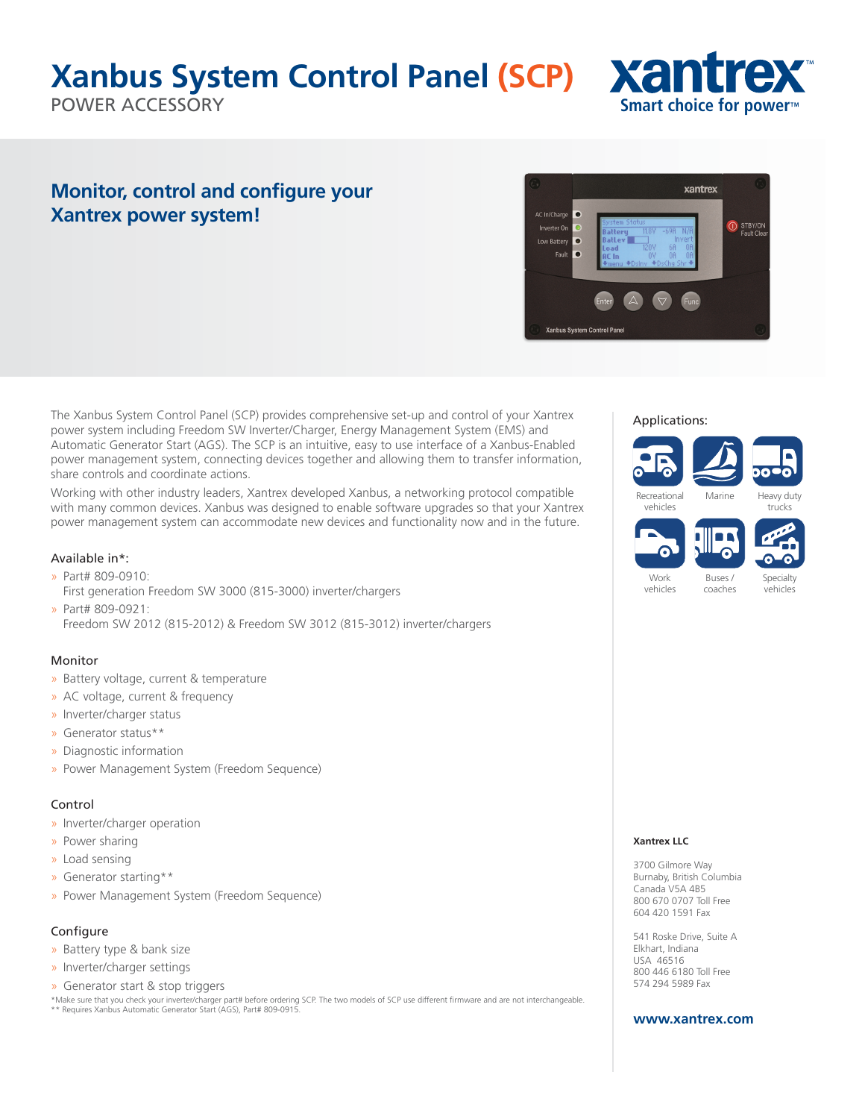# **Xanbus System Control Panel (SCP)**

POWER ACCESSORY



xantrex

STBY/ON

AC In/Charge  $\bullet$ 

Inverter O Low Battery  $\overline{\phantom{a}}$ Faul

Xanbus System Control Pane

### **Monitor, control and configure your Xantrex power system!**

The Xanbus System Control Panel (SCP) provides comprehensive set-up and control of your Xantrex power system including Freedom SW Inverter/Charger, Energy Management System (EMS) and Automatic Generator Start (AGS). The SCP is an intuitive, easy to use interface of a Xanbus-Enabled power management system, connecting devices together and allowing them to transfer information, share controls and coordinate actions.

Working with other industry leaders, Xantrex developed Xanbus, a networking protocol compatible with many common devices. Xanbus was designed to enable software upgrades so that your Xantrex power management system can accommodate new devices and functionality now and in the future.

#### Available in\*:

- » Part# 809-0910:
- First generation Freedom SW 3000 (815-3000) inverter/chargers » Part# 809-0921:

Freedom SW 2012 (815-2012) & Freedom SW 3012 (815-3012) inverter/chargers

#### Monitor

- » Battery voltage, current & temperature
- » AC voltage, current & frequency
- » Inverter/charger status
- » Generator status\*\*
- » Diagnostic information
- » Power Management System (Freedom Sequence)

#### Control

- » Inverter/charger operation
- » Power sharing
- » Load sensing
- » Generator starting\*\*
- » Power Management System (Freedom Sequence)

#### Configure

- » Battery type & bank size
- » Inverter/charger settings
- » Generator start & stop triggers

\*Make sure that you check your inverter/charger part# before ordering SCP. The two models of SCP use different firmware and are not interchangeable. \*\* Requires Xanbus Automatic Generator Start (AGS), Part# 809-0915.

#### Applications:



coaches

vehicles

Specialty vehicles

#### **Xantrex LLC**

3700 Gilmore Way Burnaby, British Columbia Canada V5A 4B5 800 670 0707 Toll Free 604 420 1591 Fax

541 Roske Drive, Suite A Elkhart, Indiana USA 46516 800 446 6180 Toll Free 574 294 5989 Fax

#### **www.xantrex.com**